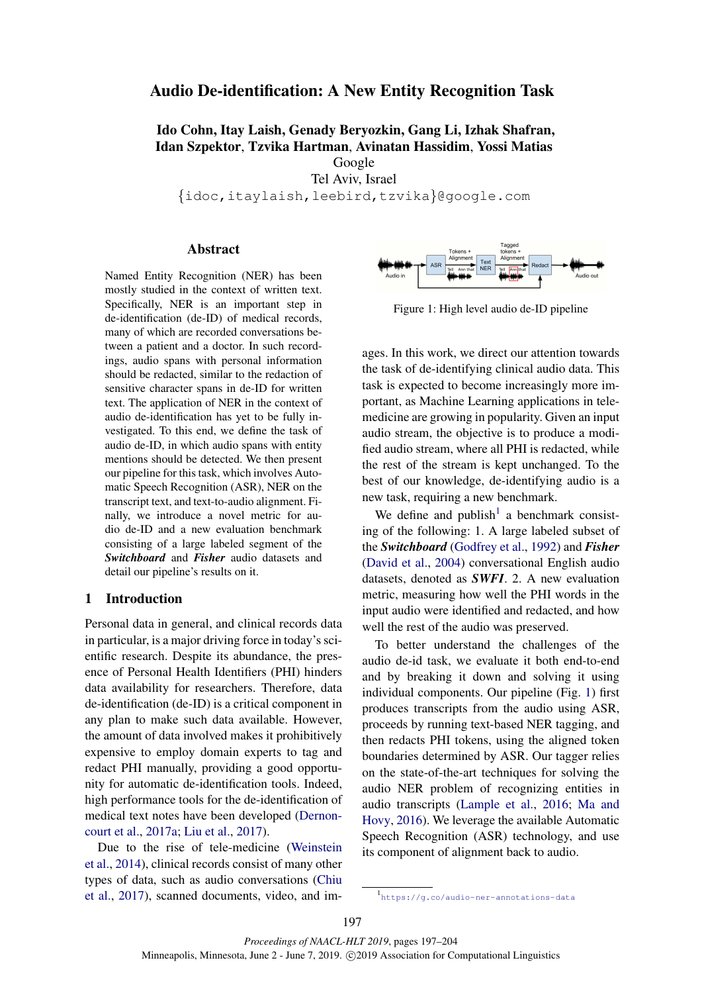# Audio De-identification: A New Entity Recognition Task

# Ido Cohn, Itay Laish, Genady Beryozkin, Gang Li, Izhak Shafran, Idan Szpektor, Tzvika Hartman, Avinatan Hassidim, Yossi Matias Google

Tel Aviv, Israel

{idoc,itaylaish,leebird,tzvika}@google.com

### Abstract

Named Entity Recognition (NER) has been mostly studied in the context of written text. Specifically, NER is an important step in de-identification (de-ID) of medical records, many of which are recorded conversations between a patient and a doctor. In such recordings, audio spans with personal information should be redacted, similar to the redaction of sensitive character spans in de-ID for written text. The application of NER in the context of audio de-identification has yet to be fully investigated. To this end, we define the task of audio de-ID, in which audio spans with entity mentions should be detected. We then present our pipeline for this task, which involves Automatic Speech Recognition (ASR), NER on the transcript text, and text-to-audio alignment. Finally, we introduce a novel metric for audio de-ID and a new evaluation benchmark consisting of a large labeled segment of the *Switchboard* and *Fisher* audio datasets and detail our pipeline's results on it.

# 1 Introduction

Personal data in general, and clinical records data in particular, is a major driving force in today's scientific research. Despite its abundance, the presence of Personal Health Identifiers (PHI) hinders data availability for researchers. Therefore, data de-identification (de-ID) is a critical component in any plan to make such data available. However, the amount of data involved makes it prohibitively expensive to employ domain experts to tag and redact PHI manually, providing a good opportunity for automatic de-identification tools. Indeed, high performance tools for the de-identification of medical text notes have been developed [\(Dernon](#page-6-0)[court et al.,](#page-6-0) [2017a;](#page-6-0) [Liu et al.,](#page-6-1) [2017\)](#page-6-1).

Due to the rise of tele-medicine [\(Weinstein](#page-7-0) [et al.,](#page-7-0) [2014\)](#page-7-0), clinical records consist of many other types of data, such as audio conversations [\(Chiu](#page-6-2) [et al.,](#page-6-2) [2017\)](#page-6-2), scanned documents, video, and im-

<span id="page-0-1"></span>

Figure 1: High level audio de-ID pipeline

ages. In this work, we direct our attention towards the task of de-identifying clinical audio data. This task is expected to become increasingly more important, as Machine Learning applications in telemedicine are growing in popularity. Given an input audio stream, the objective is to produce a modified audio stream, where all PHI is redacted, while the rest of the stream is kept unchanged. To the best of our knowledge, de-identifying audio is a new task, requiring a new benchmark.

We define and  $\text{publish}^1$  $\text{publish}^1$  a benchmark consisting of the following: 1. A large labeled subset of the *Switchboard* [\(Godfrey et al.,](#page-6-3) [1992\)](#page-6-3) and *Fisher* [\(David et al.,](#page-6-4) [2004\)](#page-6-4) conversational English audio datasets, denoted as *SWFI*. 2. A new evaluation metric, measuring how well the PHI words in the input audio were identified and redacted, and how well the rest of the audio was preserved.

To better understand the challenges of the audio de-id task, we evaluate it both end-to-end and by breaking it down and solving it using individual components. Our pipeline (Fig. [1\)](#page-0-1) first produces transcripts from the audio using ASR, proceeds by running text-based NER tagging, and then redacts PHI tokens, using the aligned token boundaries determined by ASR. Our tagger relies on the state-of-the-art techniques for solving the audio NER problem of recognizing entities in audio transcripts [\(Lample et al.,](#page-6-5) [2016;](#page-6-5) [Ma and](#page-7-1) [Hovy,](#page-7-1) [2016\)](#page-7-1). We leverage the available Automatic Speech Recognition (ASR) technology, and use its component of alignment back to audio.

*Proceedings of NAACL-HLT 2019*, pages 197–204 Minneapolis, Minnesota, June 2 - June 7, 2019. © 2019 Association for Computational Linguistics

<span id="page-0-0"></span><sup>1</sup> <https://g.co/audio-ner-annotations-data>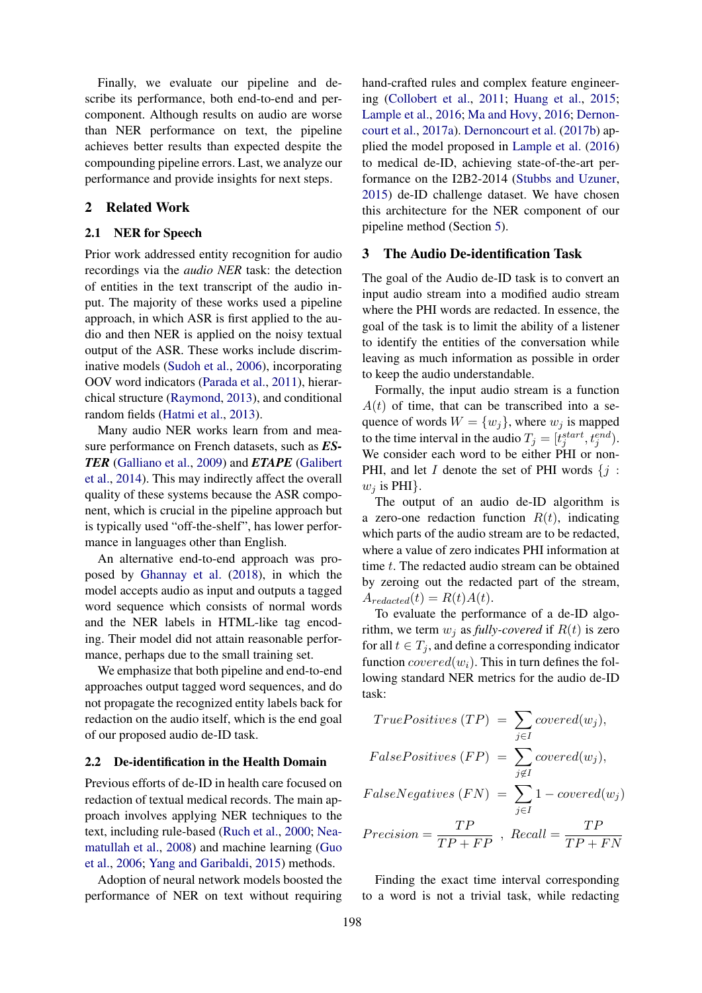Finally, we evaluate our pipeline and describe its performance, both end-to-end and percomponent. Although results on audio are worse than NER performance on text, the pipeline achieves better results than expected despite the compounding pipeline errors. Last, we analyze our performance and provide insights for next steps.

### 2 Related Work

#### 2.1 NER for Speech

Prior work addressed entity recognition for audio recordings via the *audio NER* task: the detection of entities in the text transcript of the audio input. The majority of these works used a pipeline approach, in which ASR is first applied to the audio and then NER is applied on the noisy textual output of the ASR. These works include discriminative models [\(Sudoh et al.,](#page-7-2) [2006\)](#page-7-2), incorporating OOV word indicators [\(Parada et al.,](#page-7-3) [2011\)](#page-7-3), hierarchical structure [\(Raymond,](#page-7-4) [2013\)](#page-7-4), and conditional random fields [\(Hatmi et al.,](#page-6-6) [2013\)](#page-6-6).

Many audio NER works learn from and measure performance on French datasets, such as *ES-TER* [\(Galliano et al.,](#page-6-7) [2009\)](#page-6-7) and *ETAPE* [\(Galibert](#page-6-8) [et al.,](#page-6-8) [2014\)](#page-6-8). This may indirectly affect the overall quality of these systems because the ASR component, which is crucial in the pipeline approach but is typically used "off-the-shelf", has lower performance in languages other than English.

An alternative end-to-end approach was proposed by [Ghannay et al.](#page-6-9) [\(2018\)](#page-6-9), in which the model accepts audio as input and outputs a tagged word sequence which consists of normal words and the NER labels in HTML-like tag encoding. Their model did not attain reasonable performance, perhaps due to the small training set.

We emphasize that both pipeline and end-to-end approaches output tagged word sequences, and do not propagate the recognized entity labels back for redaction on the audio itself, which is the end goal of our proposed audio de-ID task.

#### 2.2 De-identification in the Health Domain

Previous efforts of de-ID in health care focused on redaction of textual medical records. The main approach involves applying NER techniques to the text, including rule-based [\(Ruch et al.,](#page-7-5) [2000;](#page-7-5) [Nea](#page-7-6)[matullah et al.,](#page-7-6) [2008\)](#page-7-6) and machine learning [\(Guo](#page-6-10) [et al.,](#page-6-10) [2006;](#page-6-10) [Yang and Garibaldi,](#page-7-7) [2015\)](#page-7-7) methods.

Adoption of neural network models boosted the performance of NER on text without requiring

hand-crafted rules and complex feature engineering [\(Collobert et al.,](#page-6-11) [2011;](#page-6-11) [Huang et al.,](#page-6-12) [2015;](#page-6-12) [Lample et al.,](#page-6-5) [2016;](#page-6-5) [Ma and Hovy,](#page-7-1) [2016;](#page-7-1) [Dernon](#page-6-0)[court et al.,](#page-6-0) [2017a\)](#page-6-0). [Dernoncourt et al.](#page-6-13) [\(2017b\)](#page-6-13) applied the model proposed in [Lample et al.](#page-6-5) [\(2016\)](#page-6-5) to medical de-ID, achieving state-of-the-art performance on the I2B2-2014 [\(Stubbs and Uzuner,](#page-7-8) [2015\)](#page-7-8) de-ID challenge dataset. We have chosen this architecture for the NER component of our pipeline method (Section [5\)](#page-3-0).

### <span id="page-1-0"></span>3 The Audio De-identification Task

The goal of the Audio de-ID task is to convert an input audio stream into a modified audio stream where the PHI words are redacted. In essence, the goal of the task is to limit the ability of a listener to identify the entities of the conversation while leaving as much information as possible in order to keep the audio understandable.

Formally, the input audio stream is a function  $A(t)$  of time, that can be transcribed into a sequence of words  $W = \{w_j\}$ , where  $w_j$  is mapped to the time interval in the audio  $T_j = [t_j^{start}, t_j^{end}]$ . We consider each word to be either PHI or non-PHI, and let I denote the set of PHI words  $\{j :$  $w_i$  is PHI}.

The output of an audio de-ID algorithm is a zero-one redaction function  $R(t)$ , indicating which parts of the audio stream are to be redacted, where a value of zero indicates PHI information at time t. The redacted audio stream can be obtained by zeroing out the redacted part of the stream,  $A_{reduced}(t) = R(t)A(t).$ 

To evaluate the performance of a de-ID algorithm, we term  $w_i$  as *fully-covered* if  $R(t)$  is zero for all  $t \in T_i$ , and define a corresponding indicator function  $covered(w_i)$ . This in turn defines the following standard NER metrics for the audio de-ID task:

$$
True Positives (TP) = \sum_{j \in I} covered(w_j),
$$
  
\n
$$
False Positives (FP) = \sum_{j \notin I} covered(w_j),
$$
  
\n
$$
False Negatives (FN) = \sum_{j \in I} 1 - covered(w_j)
$$
  
\n
$$
Precision = \frac{TP}{TP + FP}, \text{ Recall} = \frac{TP}{TP + FN}
$$

Finding the exact time interval corresponding to a word is not a trivial task, while redacting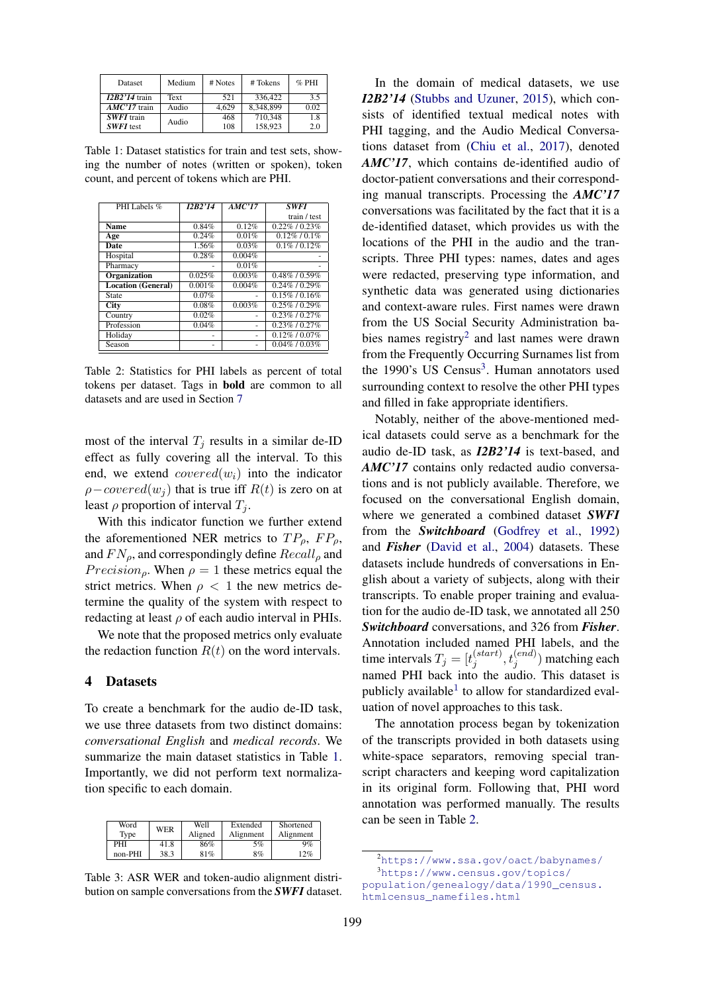<span id="page-2-0"></span>

| <b>Dataset</b>             | Medium | # Notes | # Tokens  | $%$ PHI |
|----------------------------|--------|---------|-----------|---------|
| $\overline{I2B2'14}$ train | Text   | 521     | 336,422   | 35      |
| $\overline{AMC'17}$ train  | Audio  | 4.629   | 8.348.899 | 0.02    |
| <b>SWFI</b> train          | Audio  | 468     | 710.348   | 1.8     |
| <b>SWFI</b> test           |        | 108     | 158.923   | 2.0     |

Table 1: Dataset statistics for train and test sets, showing the number of notes (written or spoken), token count, and percent of tokens which are PHI.

<span id="page-2-3"></span>

| PHI Labels %              | I2B2'14 | AMC'17 | <b>SWFI</b>         |
|---------------------------|---------|--------|---------------------|
|                           |         |        | train / test        |
| <b>Name</b>               | 0.84%   | 0.12%  | $0.22\%$ / $0.23\%$ |
| Age                       | 0.24%   | 0.01%  | $0.12\%$ / $0.1\%$  |
| Date                      | 1.56%   | 0.03%  | $0.1\%$ / $0.12\%$  |
| Hospital                  | 0.28%   | 0.004% |                     |
| Pharmacy                  |         | 0.01%  |                     |
| Organization              | 0.025%  | 0.003% | $0.48\%$ / $0.59\%$ |
| <b>Location</b> (General) | 0.001%  | 0.004% | $0.24\%$ / $0.29\%$ |
| State                     | 0.07%   |        | $0.15\%$ / 0.16\%   |
| <b>City</b>               | 0.08%   | 0.003% | $0.25\%$ / $0.29\%$ |
| Country                   | 0.02%   |        | $0.23\%$ / $0.27\%$ |
| Profession                | 0.04%   |        | $0.23\%$ / $0.27\%$ |
| Holiday                   |         |        | $0.12\%$ / $0.07\%$ |
| Season                    |         |        | $0.04\%$ / $0.03\%$ |

Table 2: Statistics for PHI labels as percent of total tokens per dataset. Tags in bold are common to all datasets and are used in Section [7](#page-4-0)

most of the interval  $T_i$  results in a similar de-ID effect as fully covering all the interval. To this end, we extend  $covered(w_i)$  into the indicator  $\rho$ −covered(w<sub>i</sub>) that is true iff  $R(t)$  is zero on at least  $\rho$  proportion of interval  $T_i$ .

With this indicator function we further extend the aforementioned NER metrics to  $TP_0$ ,  $FP_0$ , and  $FN_{\rho}$ , and correspondingly define  $Recall_{\rho}$  and *Precision<sub>ρ</sub>*. When  $\rho = 1$  these metrics equal the strict metrics. When  $\rho < 1$  the new metrics determine the quality of the system with respect to redacting at least  $\rho$  of each audio interval in PHIs.

We note that the proposed metrics only evaluate the redaction function  $R(t)$  on the word intervals.

## 4 Datasets

To create a benchmark for the audio de-ID task, we use three datasets from two distinct domains: *conversational English* and *medical records*. We summarize the main dataset statistics in Table [1.](#page-2-0) Importantly, we did not perform text normalization specific to each domain.

<span id="page-2-4"></span>

| Word<br>Tvpe | <b>WER</b> | Well<br>Aligned | Extended<br>Alignment | Shortened<br>Alignment |
|--------------|------------|-----------------|-----------------------|------------------------|
| PHI          | 41.8       | 86%             | 5%                    | 9%                     |
| non-PHI      | 38.3       | 81%             | 8%                    | 12%                    |

Table 3: ASR WER and token-audio alignment distribution on sample conversations from the *SWFI* dataset.

In the domain of medical datasets, we use *I2B2'14* [\(Stubbs and Uzuner,](#page-7-8) [2015\)](#page-7-8), which consists of identified textual medical notes with PHI tagging, and the Audio Medical Conversations dataset from [\(Chiu et al.,](#page-6-2) [2017\)](#page-6-2), denoted *AMC'17*, which contains de-identified audio of doctor-patient conversations and their corresponding manual transcripts. Processing the *AMC'17* conversations was facilitated by the fact that it is a de-identified dataset, which provides us with the locations of the PHI in the audio and the transcripts. Three PHI types: names, dates and ages were redacted, preserving type information, and synthetic data was generated using dictionaries and context-aware rules. First names were drawn from the US Social Security Administration ba-bies names registry<sup>[2](#page-2-1)</sup> and last names were drawn from the Frequently Occurring Surnames list from the 1990's US Census<sup>[3](#page-2-2)</sup>. Human annotators used surrounding context to resolve the other PHI types and filled in fake appropriate identifiers.

Notably, neither of the above-mentioned medical datasets could serve as a benchmark for the audio de-ID task, as *I2B2'14* is text-based, and *AMC'17* contains only redacted audio conversations and is not publicly available. Therefore, we focused on the conversational English domain, where we generated a combined dataset *SWFI* from the *Switchboard* [\(Godfrey et al.,](#page-6-3) [1992\)](#page-6-3) and *Fisher* [\(David et al.,](#page-6-4) [2004\)](#page-6-4) datasets. These datasets include hundreds of conversations in English about a variety of subjects, along with their transcripts. To enable proper training and evaluation for the audio de-ID task, we annotated all 250 *Switchboard* conversations, and 326 from *Fisher*. Annotation included named PHI labels, and the time intervals  $T_j = [t_j^{(start)}]$  $j^{(start)}, t^{(end)}_j)$  matching each named PHI back into the audio. This dataset is publicly available<sup>[1](ftn:data-public-url)</sup> to allow for standardized evaluation of novel approaches to this task.

The annotation process began by tokenization of the transcripts provided in both datasets using white-space separators, removing special transcript characters and keeping word capitalization in its original form. Following that, PHI word annotation was performed manually. The results can be seen in Table [2.](#page-2-3)

<span id="page-2-2"></span><span id="page-2-1"></span><sup>2</sup>[https://www.ssa.gov/oact/babynames/]( https://www.ssa.gov/oact/babynames/) <sup>3</sup>[https://www.census.gov/topics/](https://www.census.gov/topics/population/genealogy/data/1990_census.htmlcensus_namefiles.html) [population/genealogy/data/1990\\_census.](https://www.census.gov/topics/population/genealogy/data/1990_census.htmlcensus_namefiles.html)

[htmlcensus\\_namefiles.html](https://www.census.gov/topics/population/genealogy/data/1990_census.htmlcensus_namefiles.html)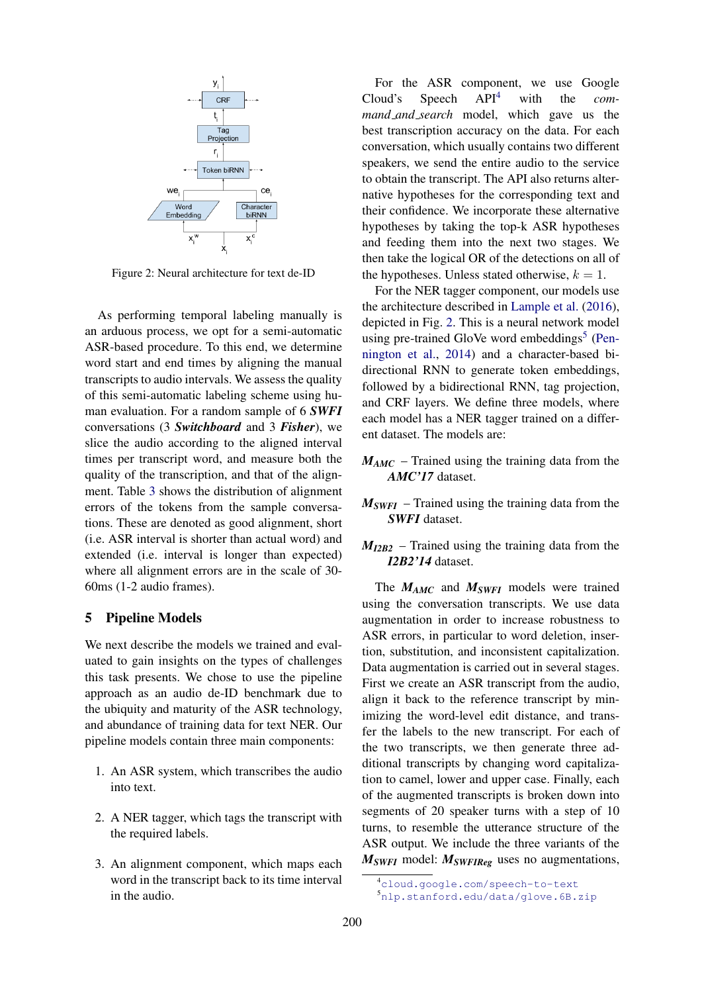<span id="page-3-2"></span>

Figure 2: Neural architecture for text de-ID

As performing temporal labeling manually is an arduous process, we opt for a semi-automatic ASR-based procedure. To this end, we determine word start and end times by aligning the manual transcripts to audio intervals. We assess the quality of this semi-automatic labeling scheme using human evaluation. For a random sample of 6 *SWFI* conversations (3 *Switchboard* and 3 *Fisher*), we slice the audio according to the aligned interval times per transcript word, and measure both the quality of the transcription, and that of the alignment. Table [3](#page-2-4) shows the distribution of alignment errors of the tokens from the sample conversations. These are denoted as good alignment, short (i.e. ASR interval is shorter than actual word) and extended (i.e. interval is longer than expected) where all alignment errors are in the scale of 30- 60ms (1-2 audio frames).

# <span id="page-3-0"></span>5 Pipeline Models

We next describe the models we trained and evaluated to gain insights on the types of challenges this task presents. We chose to use the pipeline approach as an audio de-ID benchmark due to the ubiquity and maturity of the ASR technology, and abundance of training data for text NER. Our pipeline models contain three main components:

- 1. An ASR system, which transcribes the audio into text.
- 2. A NER tagger, which tags the transcript with the required labels.
- 3. An alignment component, which maps each word in the transcript back to its time interval in the audio.

For the ASR component, we use Google Cloud's Speech API[4](#page-3-1) with the *command and search* model, which gave us the best transcription accuracy on the data. For each conversation, which usually contains two different speakers, we send the entire audio to the service to obtain the transcript. The API also returns alternative hypotheses for the corresponding text and their confidence. We incorporate these alternative hypotheses by taking the top-k ASR hypotheses and feeding them into the next two stages. We then take the logical OR of the detections on all of the hypotheses. Unless stated otherwise,  $k = 1$ .

For the NER tagger component, our models use the architecture described in [Lample et al.](#page-6-5) [\(2016\)](#page-6-5), depicted in Fig. [2.](#page-3-2) This is a neural network model using pre-trained GloVe word embeddings<sup>[5](#page-3-3)</sup> [\(Pen](#page-7-9)[nington et al.,](#page-7-9) [2014\)](#page-7-9) and a character-based bidirectional RNN to generate token embeddings, followed by a bidirectional RNN, tag projection, and CRF layers. We define three models, where each model has a NER tagger trained on a different dataset. The models are:

- $M_{AMC}$  Trained using the training data from the *AMC'17* dataset.
- *MSWFI* Trained using the training data from the *SWFI* dataset.
- *MI2B2* Trained using the training data from the *I2B2'14* dataset.

The *MAMC* and *MSWFI* models were trained using the conversation transcripts. We use data augmentation in order to increase robustness to ASR errors, in particular to word deletion, insertion, substitution, and inconsistent capitalization. Data augmentation is carried out in several stages. First we create an ASR transcript from the audio, align it back to the reference transcript by minimizing the word-level edit distance, and transfer the labels to the new transcript. For each of the two transcripts, we then generate three additional transcripts by changing word capitalization to camel, lower and upper case. Finally, each of the augmented transcripts is broken down into segments of 20 speaker turns with a step of 10 turns, to resemble the utterance structure of the ASR output. We include the three variants of the *MSWFI* model: *MSWFIReg* uses no augmentations,

<span id="page-3-1"></span><sup>4</sup><cloud.google.com/speech-to-text>

<span id="page-3-3"></span><sup>5</sup><nlp.stanford.edu/data/glove.6B.zip>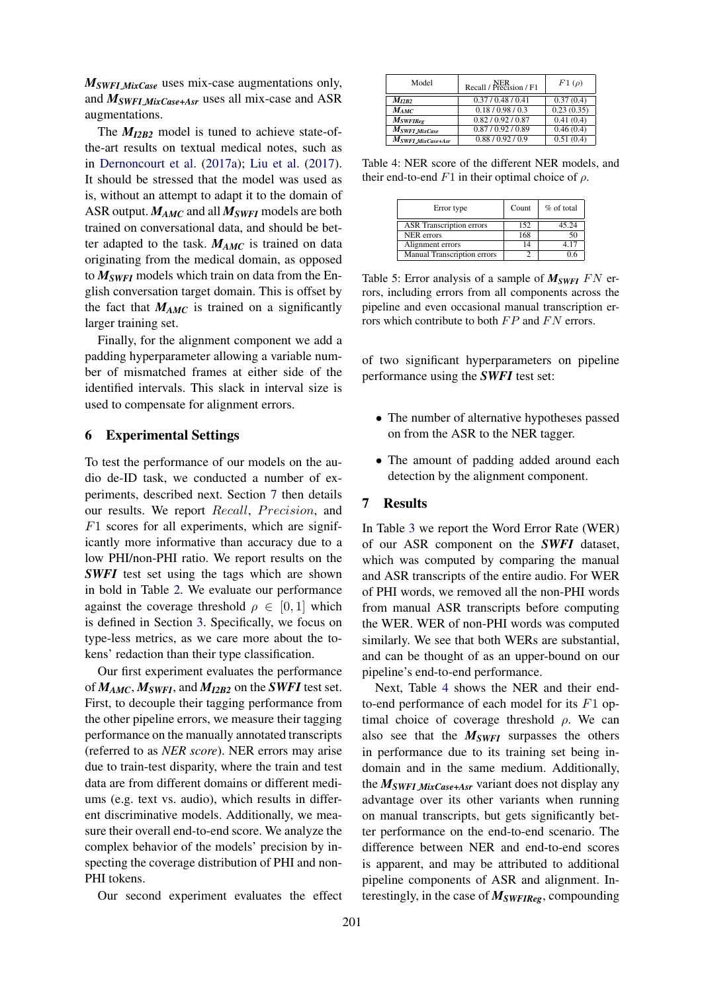*MSWFI MixCase* uses mix-case augmentations only, and *MSWFI MixCase+Asr* uses all mix-case and ASR augmentations.

The *MI2B2* model is tuned to achieve state-ofthe-art results on textual medical notes, such as in [Dernoncourt et al.](#page-6-0) [\(2017a\)](#page-6-0); [Liu et al.](#page-6-1) [\(2017\)](#page-6-1). It should be stressed that the model was used as is, without an attempt to adapt it to the domain of ASR output. *MAMC* and all *MSWFI* models are both trained on conversational data, and should be better adapted to the task.  $M_{AMC}$  is trained on data originating from the medical domain, as opposed to *MSWFI* models which train on data from the English conversation target domain. This is offset by the fact that  $M_{AMC}$  is trained on a significantly larger training set.

Finally, for the alignment component we add a padding hyperparameter allowing a variable number of mismatched frames at either side of the identified intervals. This slack in interval size is used to compensate for alignment errors.

## 6 Experimental Settings

To test the performance of our models on the audio de-ID task, we conducted a number of experiments, described next. Section [7](#page-4-0) then details our results. We report Recall, Precision, and  $F1$  scores for all experiments, which are significantly more informative than accuracy due to a low PHI/non-PHI ratio. We report results on the **SWFI** test set using the tags which are shown in bold in Table [2.](#page-2-3) We evaluate our performance against the coverage threshold  $\rho \in [0, 1]$  which is defined in Section [3.](#page-1-0) Specifically, we focus on type-less metrics, as we care more about the tokens' redaction than their type classification.

Our first experiment evaluates the performance of *MAMC*, *MSWFI*, and *MI2B2* on the *SWFI* test set. First, to decouple their tagging performance from the other pipeline errors, we measure their tagging performance on the manually annotated transcripts (referred to as *NER score*). NER errors may arise due to train-test disparity, where the train and test data are from different domains or different mediums (e.g. text vs. audio), which results in different discriminative models. Additionally, we measure their overall end-to-end score. We analyze the complex behavior of the models' precision by inspecting the coverage distribution of PHI and non-PHI tokens.

Our second experiment evaluates the effect

<span id="page-4-1"></span>

| Model                         | Recall / Precision / F1 | $F1(\rho)$ |
|-------------------------------|-------------------------|------------|
| $M_{I2B2}$                    | 0.37/0.48/0.41          | 0.37(0.4)  |
| $M_{AMC}$                     | 0.18/0.98/0.3           | 0.23(0.35) |
| $M_{SWFIREg}$                 | 0.82 / 0.92 / 0.87      | 0.41(0.4)  |
| $M_{SWFI\_MixCase}$           | 0.87/0.92/0.89          | 0.46(0.4)  |
| M <sub>SWFI</sub> MixCase+Asr | 0.88/0.92/0.9           | 0.51(0.4)  |

Table 4: NER score of the different NER models, and their end-to-end  $F1$  in their optimal choice of  $\rho$ .

| Error type                      | Count | % of total |
|---------------------------------|-------|------------|
| <b>ASR</b> Transcription errors | 152   | 45.24      |
| <b>NER</b> errors               | 168   | 50         |
| Alignment errors                | 14    | 4 17       |
| Manual Transcription errors     |       | 06         |

Table 5: Error analysis of a sample of  $M_{SWFI}$   $FN$  errors, including errors from all components across the pipeline and even occasional manual transcription errors which contribute to both  $FP$  and  $FN$  errors.

of two significant hyperparameters on pipeline performance using the *SWFI* test set:

- The number of alternative hypotheses passed on from the ASR to the NER tagger.
- The amount of padding added around each detection by the alignment component.

# <span id="page-4-0"></span>7 Results

In Table [3](#page-2-4) we report the Word Error Rate (WER) of our ASR component on the *SWFI* dataset, which was computed by comparing the manual and ASR transcripts of the entire audio. For WER of PHI words, we removed all the non-PHI words from manual ASR transcripts before computing the WER. WER of non-PHI words was computed similarly. We see that both WERs are substantial, and can be thought of as an upper-bound on our pipeline's end-to-end performance.

Next, Table [4](#page-4-1) shows the NER and their endto-end performance of each model for its F1 optimal choice of coverage threshold  $\rho$ . We can also see that the *MSWFI* surpasses the others in performance due to its training set being indomain and in the same medium. Additionally, the *MSWFI MixCase+Asr* variant does not display any advantage over its other variants when running on manual transcripts, but gets significantly better performance on the end-to-end scenario. The difference between NER and end-to-end scores is apparent, and may be attributed to additional pipeline components of ASR and alignment. Interestingly, in the case of *MSWFIReg*, compounding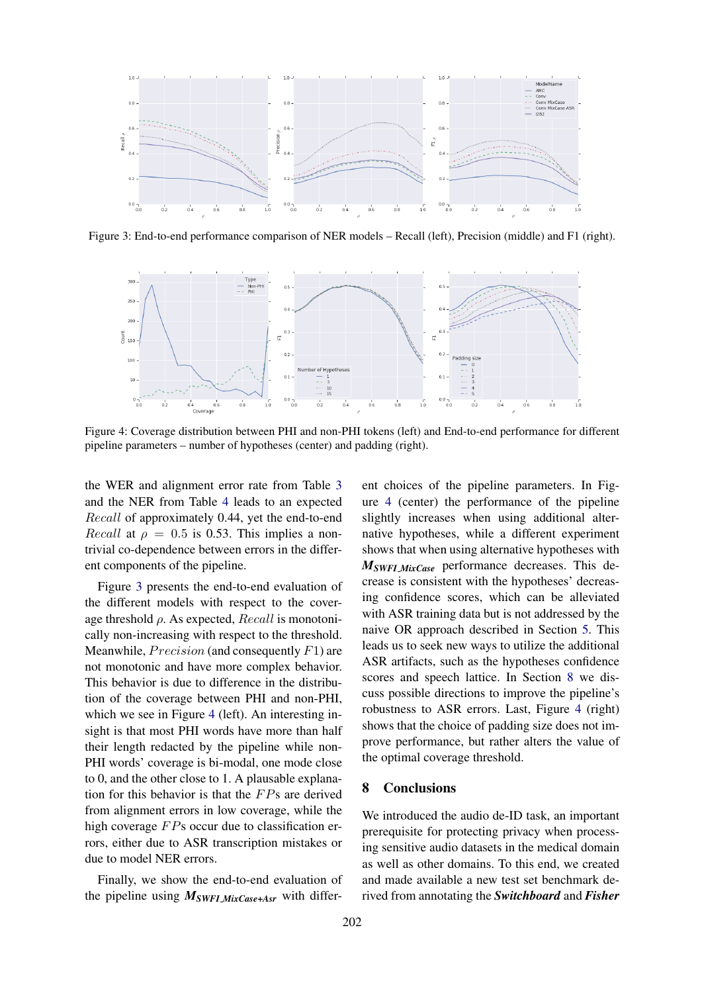<span id="page-5-0"></span>

Figure 3: End-to-end performance comparison of NER models – Recall (left), Precision (middle) and F1 (right).



Figure 4: Coverage distribution between PHI and non-PHI tokens (left) and End-to-end performance for different pipeline parameters – number of hypotheses (center) and padding (right).

the WER and alignment error rate from Table [3](#page-2-4) and the NER from Table [4](#page-4-1) leads to an expected Recall of approximately 0.44, yet the end-to-end *Recall* at  $\rho = 0.5$  is 0.53. This implies a nontrivial co-dependence between errors in the different components of the pipeline.

Figure [3](#page-5-0) presents the end-to-end evaluation of the different models with respect to the coverage threshold  $\rho$ . As expected,  $Recall$  is monotonically non-increasing with respect to the threshold. Meanwhile,  $Precision$  (and consequently  $F1$ ) are not monotonic and have more complex behavior. This behavior is due to difference in the distribution of the coverage between PHI and non-PHI, which we see in Figure [4](#page-5-0) (left). An interesting insight is that most PHI words have more than half their length redacted by the pipeline while non-PHI words' coverage is bi-modal, one mode close to 0, and the other close to 1. A plausable explanation for this behavior is that the  $FPs$  are derived from alignment errors in low coverage, while the high coverage  $FPs$  occur due to classification errors, either due to ASR transcription mistakes or due to model NER errors.

Finally, we show the end-to-end evaluation of the pipeline using *MSWFI MixCase+Asr* with differ-

ent choices of the pipeline parameters. In Figure [4](#page-5-0) (center) the performance of the pipeline slightly increases when using additional alternative hypotheses, while a different experiment shows that when using alternative hypotheses with *MSWFI MixCase* performance decreases. This decrease is consistent with the hypotheses' decreasing confidence scores, which can be alleviated with ASR training data but is not addressed by the naive OR approach described in Section [5.](#page-3-0) This leads us to seek new ways to utilize the additional ASR artifacts, such as the hypotheses confidence scores and speech lattice. In Section [8](#page-5-1) we discuss possible directions to improve the pipeline's robustness to ASR errors. Last, Figure [4](#page-5-0) (right) shows that the choice of padding size does not improve performance, but rather alters the value of the optimal coverage threshold.

## <span id="page-5-1"></span>8 Conclusions

We introduced the audio de-ID task, an important prerequisite for protecting privacy when processing sensitive audio datasets in the medical domain as well as other domains. To this end, we created and made available a new test set benchmark derived from annotating the *Switchboard* and *Fisher*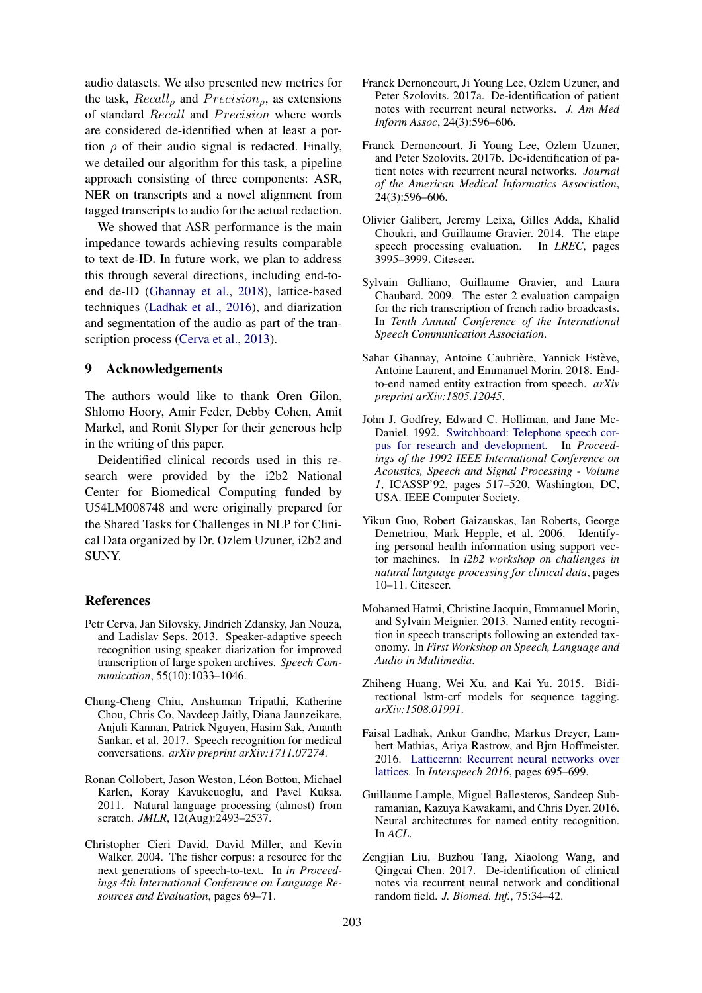audio datasets. We also presented new metrics for the task,  $Recall<sub>o</sub>$  and  $Precision<sub>o</sub>$ , as extensions of standard Recall and Precision where words are considered de-identified when at least a portion  $\rho$  of their audio signal is redacted. Finally, we detailed our algorithm for this task, a pipeline approach consisting of three components: ASR, NER on transcripts and a novel alignment from tagged transcripts to audio for the actual redaction.

We showed that ASR performance is the main impedance towards achieving results comparable to text de-ID. In future work, we plan to address this through several directions, including end-toend de-ID [\(Ghannay et al.,](#page-6-9) [2018\)](#page-6-9), lattice-based techniques [\(Ladhak et al.,](#page-6-14) [2016\)](#page-6-14), and diarization and segmentation of the audio as part of the transcription process [\(Cerva et al.,](#page-6-15) [2013\)](#page-6-15).

### 9 Acknowledgements

The authors would like to thank Oren Gilon, Shlomo Hoory, Amir Feder, Debby Cohen, Amit Markel, and Ronit Slyper for their generous help in the writing of this paper.

Deidentified clinical records used in this research were provided by the i2b2 National Center for Biomedical Computing funded by U54LM008748 and were originally prepared for the Shared Tasks for Challenges in NLP for Clinical Data organized by Dr. Ozlem Uzuner, i2b2 and SUNY.

#### References

- <span id="page-6-15"></span>Petr Cerva, Jan Silovsky, Jindrich Zdansky, Jan Nouza, and Ladislav Seps. 2013. Speaker-adaptive speech recognition using speaker diarization for improved transcription of large spoken archives. *Speech Communication*, 55(10):1033–1046.
- <span id="page-6-2"></span>Chung-Cheng Chiu, Anshuman Tripathi, Katherine Chou, Chris Co, Navdeep Jaitly, Diana Jaunzeikare, Anjuli Kannan, Patrick Nguyen, Hasim Sak, Ananth Sankar, et al. 2017. Speech recognition for medical conversations. *arXiv preprint arXiv:1711.07274*.
- <span id="page-6-11"></span>Ronan Collobert, Jason Weston, Léon Bottou, Michael Karlen, Koray Kavukcuoglu, and Pavel Kuksa. 2011. Natural language processing (almost) from scratch. *JMLR*, 12(Aug):2493–2537.
- <span id="page-6-4"></span>Christopher Cieri David, David Miller, and Kevin Walker. 2004. The fisher corpus: a resource for the next generations of speech-to-text. In *in Proceedings 4th International Conference on Language Resources and Evaluation*, pages 69–71.
- <span id="page-6-0"></span>Franck Dernoncourt, Ji Young Lee, Ozlem Uzuner, and Peter Szolovits. 2017a. De-identification of patient notes with recurrent neural networks. *J. Am Med Inform Assoc*, 24(3):596–606.
- <span id="page-6-13"></span>Franck Dernoncourt, Ji Young Lee, Ozlem Uzuner, and Peter Szolovits. 2017b. De-identification of patient notes with recurrent neural networks. *Journal of the American Medical Informatics Association*, 24(3):596–606.
- <span id="page-6-8"></span>Olivier Galibert, Jeremy Leixa, Gilles Adda, Khalid Choukri, and Guillaume Gravier. 2014. The etape speech processing evaluation. In *LREC*, pages 3995–3999. Citeseer.
- <span id="page-6-7"></span>Sylvain Galliano, Guillaume Gravier, and Laura Chaubard. 2009. The ester 2 evaluation campaign for the rich transcription of french radio broadcasts. In *Tenth Annual Conference of the International Speech Communication Association*.
- <span id="page-6-9"></span>Sahar Ghannay, Antoine Caubrière, Yannick Estève, Antoine Laurent, and Emmanuel Morin. 2018. Endto-end named entity extraction from speech. *arXiv preprint arXiv:1805.12045*.
- <span id="page-6-3"></span>John J. Godfrey, Edward C. Holliman, and Jane Mc-Daniel. 1992. [Switchboard: Telephone speech cor](http://dl.acm.org/citation.cfm?id=1895550.1895693)[pus for research and development.](http://dl.acm.org/citation.cfm?id=1895550.1895693) In *Proceedings of the 1992 IEEE International Conference on Acoustics, Speech and Signal Processing - Volume 1*, ICASSP'92, pages 517–520, Washington, DC, USA. IEEE Computer Society.
- <span id="page-6-10"></span>Yikun Guo, Robert Gaizauskas, Ian Roberts, George Demetriou, Mark Hepple, et al. 2006. Identifying personal health information using support vector machines. In *i2b2 workshop on challenges in natural language processing for clinical data*, pages 10–11. Citeseer.
- <span id="page-6-6"></span>Mohamed Hatmi, Christine Jacquin, Emmanuel Morin, and Sylvain Meignier. 2013. Named entity recognition in speech transcripts following an extended taxonomy. In *First Workshop on Speech, Language and Audio in Multimedia*.
- <span id="page-6-12"></span>Zhiheng Huang, Wei Xu, and Kai Yu. 2015. Bidirectional lstm-crf models for sequence tagging. *arXiv:1508.01991*.
- <span id="page-6-14"></span>Faisal Ladhak, Ankur Gandhe, Markus Dreyer, Lambert Mathias, Ariya Rastrow, and Bjrn Hoffmeister. 2016. [Latticernn: Recurrent neural networks over](https://doi.org/10.21437/Interspeech.2016-1583) [lattices.](https://doi.org/10.21437/Interspeech.2016-1583) In *Interspeech 2016*, pages 695–699.
- <span id="page-6-5"></span>Guillaume Lample, Miguel Ballesteros, Sandeep Subramanian, Kazuya Kawakami, and Chris Dyer. 2016. Neural architectures for named entity recognition. In *ACL*.
- <span id="page-6-1"></span>Zengjian Liu, Buzhou Tang, Xiaolong Wang, and Qingcai Chen. 2017. De-identification of clinical notes via recurrent neural network and conditional random field. *J. Biomed. Inf.*, 75:34–42.